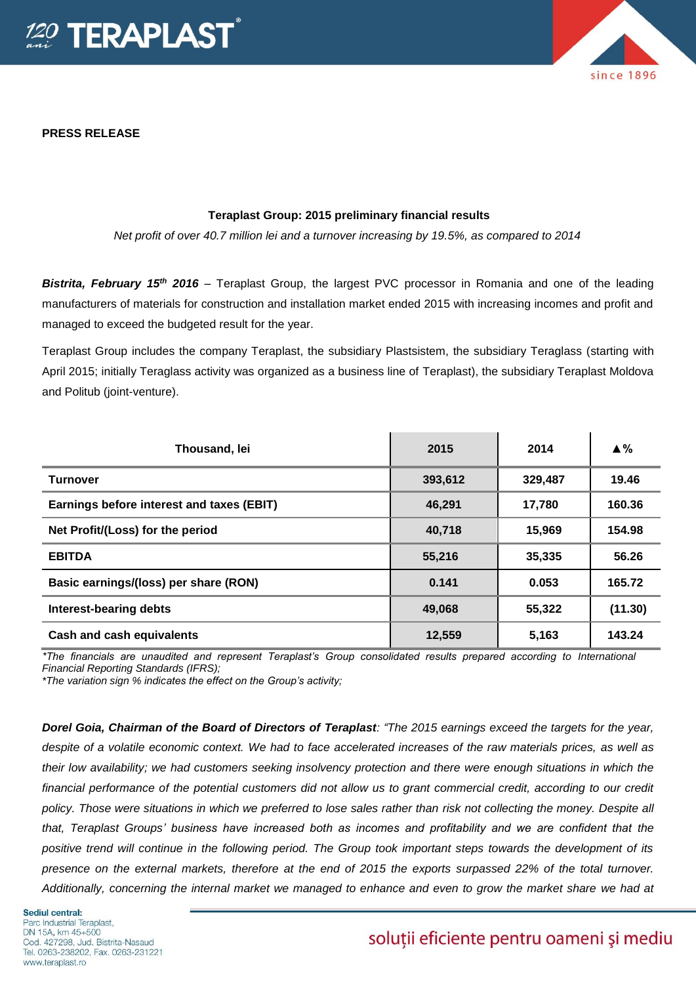

**PRESS RELEASE**

# since 1896

#### **Teraplast Group: 2015 preliminary financial results**

*Net profit of over 40.7 million lei and a turnover increasing by 19.5%, as compared to 2014*

*Bistrita, February 15th 2016* – Teraplast Group, the largest PVC processor in Romania and one of the leading manufacturers of materials for construction and installation market ended 2015 with increasing incomes and profit and managed to exceed the budgeted result for the year.

Teraplast Group includes the company Teraplast, the subsidiary Plastsistem, the subsidiary Teraglass (starting with April 2015; initially Teraglass activity was organized as a business line of Teraplast), the subsidiary Teraplast Moldova and Politub (joint-venture).

| Thousand, lei                             | 2015    | 2014    | $\triangle$ % |
|-------------------------------------------|---------|---------|---------------|
| <b>Turnover</b>                           | 393,612 | 329,487 | 19.46         |
| Earnings before interest and taxes (EBIT) | 46,291  | 17,780  | 160.36        |
| Net Profit/(Loss) for the period          | 40,718  | 15,969  | 154.98        |
| <b>EBITDA</b>                             | 55,216  | 35,335  | 56.26         |
| Basic earnings/(loss) per share (RON)     | 0.141   | 0.053   | 165.72        |
| Interest-bearing debts                    | 49,068  | 55,322  | (11.30)       |
| Cash and cash equivalents                 | 12,559  | 5,163   | 143.24        |

*\*The financials are unaudited and represent Teraplast's Group consolidated results prepared according to International Financial Reporting Standards (IFRS);*

*\*The variation sign % indicates the effect on the Group's activity;*

*Dorel Goia, Chairman of the Board of Directors of Teraplast: "The 2015 earnings exceed the targets for the year, despite of a volatile economic context. We had to face accelerated increases of the raw materials prices, as well as their low availability; we had customers seeking insolvency protection and there were enough situations in which the financial performance of the potential customers did not allow us to grant commercial credit, according to our credit policy. Those were situations in which we preferred to lose sales rather than risk not collecting the money. Despite all that, Teraplast Groups' business have increased both as incomes and profitability and we are confident that the positive trend will continue in the following period. The Group took important steps towards the development of its presence on the external markets, therefore at the end of 2015 the exports surpassed 22% of the total turnover. Additionally, concerning the internal market we managed to enhance and even to grow the market share we had at* 

## soluții eficiente pentru oameni și mediu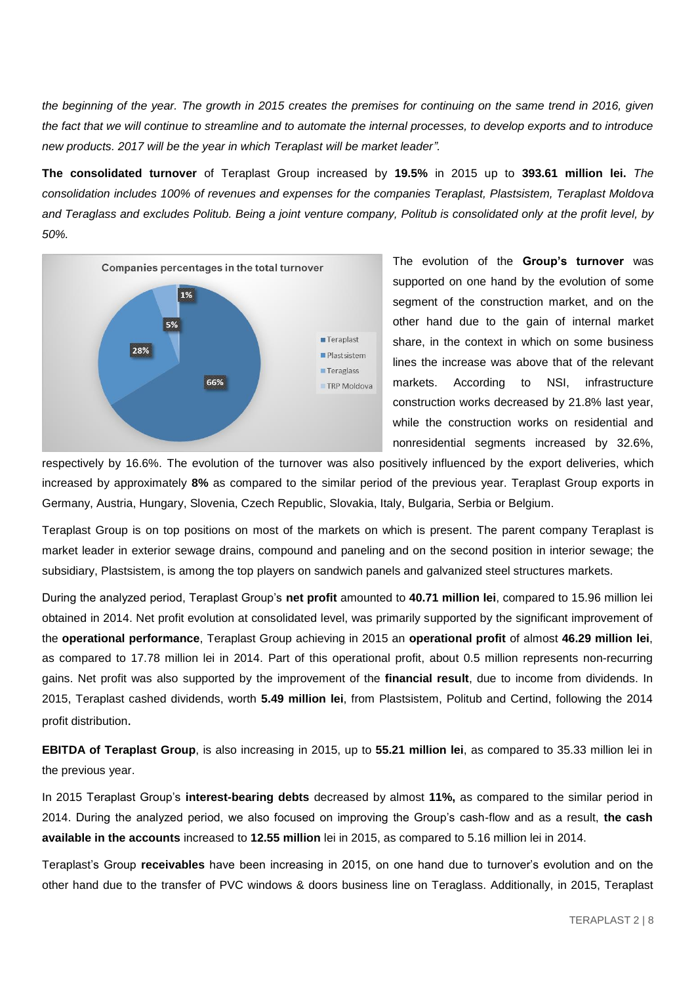*the beginning of the year. The growth in 2015 creates the premises for continuing on the same trend in 2016, given the fact that we will continue to streamline and to automate the internal processes, to develop exports and to introduce new products. 2017 will be the year in which Teraplast will be market leader".* 

**The consolidated turnover** of Teraplast Group increased by **19.5%** in 2015 up to **393.61 million lei.** *The consolidation includes 100% of revenues and expenses for the companies Teraplast, Plastsistem, Teraplast Moldova and Teraglass and excludes Politub. Being a joint venture company, Politub is consolidated only at the profit level, by 50%.* 



The evolution of the **Group's turnover** was supported on one hand by the evolution of some segment of the construction market, and on the other hand due to the gain of internal market share, in the context in which on some business lines the increase was above that of the relevant markets. According to NSI, infrastructure construction works decreased by 21.8% last year, while the construction works on residential and nonresidential segments increased by 32.6%,

respectively by 16.6%. The evolution of the turnover was also positively influenced by the export deliveries, which increased by approximately **8%** as compared to the similar period of the previous year. Teraplast Group exports in Germany, Austria, Hungary, Slovenia, Czech Republic, Slovakia, Italy, Bulgaria, Serbia or Belgium.

Teraplast Group is on top positions on most of the markets on which is present. The parent company Teraplast is market leader in exterior sewage drains, compound and paneling and on the second position in interior sewage; the subsidiary, Plastsistem, is among the top players on sandwich panels and galvanized steel structures markets.

During the analyzed period, Teraplast Group's **net profit** amounted to **40.71 million lei**, compared to 15.96 million lei obtained in 2014. Net profit evolution at consolidated level, was primarily supported by the significant improvement of the **operational performance**, Teraplast Group achieving in 2015 an **operational profit** of almost **46.29 million lei**, as compared to 17.78 million lei in 2014. Part of this operational profit, about 0.5 million represents non-recurring gains. Net profit was also supported by the improvement of the **financial result**, due to income from dividends. In 2015, Teraplast cashed dividends, worth **5.49 million lei**, from Plastsistem, Politub and Certind, following the 2014 profit distribution.

**EBITDA of Teraplast Group**, is also increasing in 2015, up to **55.21 million lei**, as compared to 35.33 million lei in the previous year.

In 2015 Teraplast Group's **interest-bearing debts** decreased by almost **11%,** as compared to the similar period in 2014. During the analyzed period, we also focused on improving the Group's cash-flow and as a result, **the cash available in the accounts** increased to **12.55 million** lei in 2015, as compared to 5.16 million lei in 2014.

Teraplast's Group **receivables** have been increasing in 2015, on one hand due to turnover's evolution and on the other hand due to the transfer of PVC windows & doors business line on Teraglass. Additionally, in 2015, Teraplast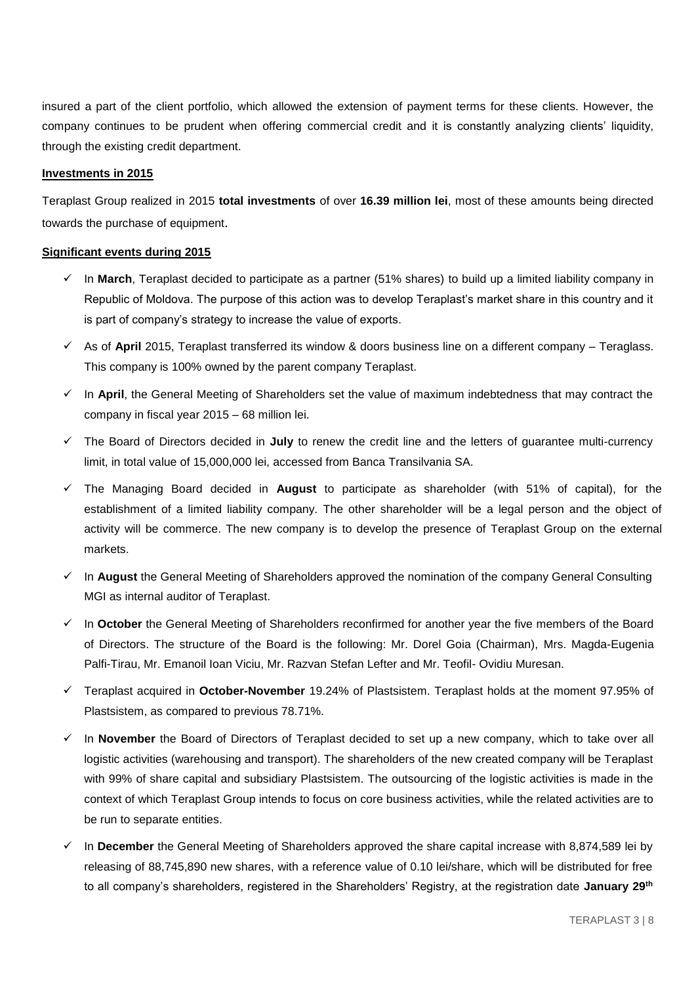insured a part of the client portfolio, which allowed the extension of payment terms for these clients. However, the company continues to be prudent when offering commercial credit and it is constantly analyzing clients' liquidity, through the existing credit department.

#### **Investments in 2015**

Teraplast Group realized in 2015 **total investments** of over **16.39 million lei**, most of these amounts being directed towards the purchase of equipment.

#### **Significant events during 2015**

- $\checkmark$  In **March**, Teraplast decided to participate as a partner (51% shares) to build up a limited liability company in Republic of Moldova. The purpose of this action was to develop Teraplast's market share in this country and it is part of company's strategy to increase the value of exports.
- $\checkmark$  As of **April** 2015, Teraplast transferred its window & doors business line on a different company Teraglass. This company is 100% owned by the parent company Teraplast.
- $\checkmark$  In **April**, the General Meeting of Shareholders set the value of maximum indebtedness that may contract the company in fiscal year 2015 – 68 million lei.
- The Board of Directors decided in **July** to renew the credit line and the letters of guarantee multi-currency limit, in total value of 15,000,000 lei, accessed from Banca Transilvania SA.
- The Managing Board decided in **August** to participate as shareholder (with 51% of capital), for the establishment of a limited liability company. The other shareholder will be a legal person and the object of activity will be commerce. The new company is to develop the presence of Teraplast Group on the external markets.
- In **August** the General Meeting of Shareholders approved the nomination of the company General Consulting MGI as internal auditor of Teraplast.
- In **October** the General Meeting of Shareholders reconfirmed for another year the five members of the Board of Directors. The structure of the Board is the following: Mr. Dorel Goia (Chairman), Mrs. Magda-Eugenia Palfi-Tirau, Mr. Emanoil Ioan Viciu, Mr. Razvan Stefan Lefter and Mr. Teofil- Ovidiu Muresan.
- Teraplast acquired in **October-November** 19.24% of Plastsistem. Teraplast holds at the moment 97.95% of Plastsistem, as compared to previous 78.71%.
- $\checkmark$  In **November** the Board of Directors of Teraplast decided to set up a new company, which to take over all logistic activities (warehousing and transport). The shareholders of the new created company will be Teraplast with 99% of share capital and subsidiary Plastsistem. The outsourcing of the logistic activities is made in the context of which Teraplast Group intends to focus on core business activities, while the related activities are to be run to separate entities.
- In **December** the General Meeting of Shareholders approved the share capital increase with 8,874,589 lei by releasing of 88,745,890 new shares, with a reference value of 0.10 lei/share, which will be distributed for free to all company's shareholders, registered in the Shareholders' Registry, at the registration date **January 29th**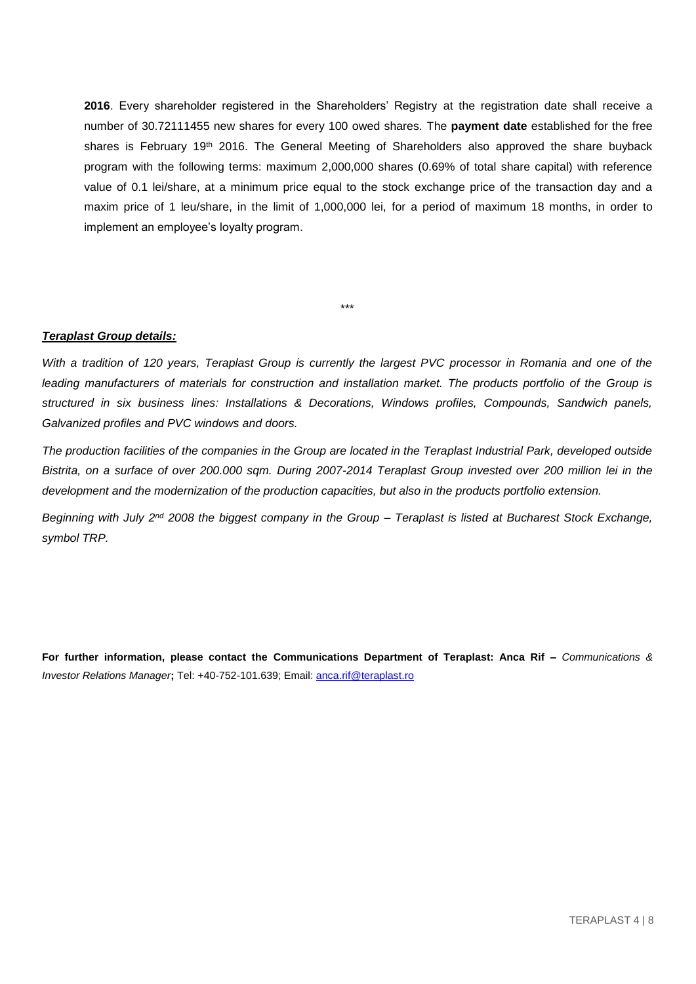**2016**. Every shareholder registered in the Shareholders' Registry at the registration date shall receive a number of 30.72111455 new shares for every 100 owed shares. The **payment date** established for the free shares is February 19<sup>th</sup> 2016. The General Meeting of Shareholders also approved the share buyback program with the following terms: maximum 2,000,000 shares (0.69% of total share capital) with reference value of 0.1 lei/share, at a minimum price equal to the stock exchange price of the transaction day and a maxim price of 1 leu/share, in the limit of 1,000,000 lei, for a period of maximum 18 months, in order to implement an employee's loyalty program.

#### *Teraplast Group details:*

*With a tradition of 120 years, Teraplast Group is currently the largest PVC processor in Romania and one of the*  leading manufacturers of materials for construction and installation market. The products portfolio of the Group is *structured in six business lines: Installations & Decorations, Windows profiles, Compounds, Sandwich panels, Galvanized profiles and PVC windows and doors.*

\*\*\*

*The production facilities of the companies in the Group are located in the Teraplast Industrial Park, developed outside Bistrita, on a surface of over 200.000 sqm. During 2007-2014 Teraplast Group invested over 200 million lei in the development and the modernization of the production capacities, but also in the products portfolio extension.* 

*Beginning with July 2nd 2008 the biggest company in the Group – Teraplast is listed at Bucharest Stock Exchange, symbol TRP.* 

**For further information, please contact the Communications Department of Teraplast: Anca Rif –** *Communications & Investor Relations Manager***;** Tel: +40-752-101.639; Email[: anca.rif@teraplast.ro](mailto:anca.rif@teraplast.ro)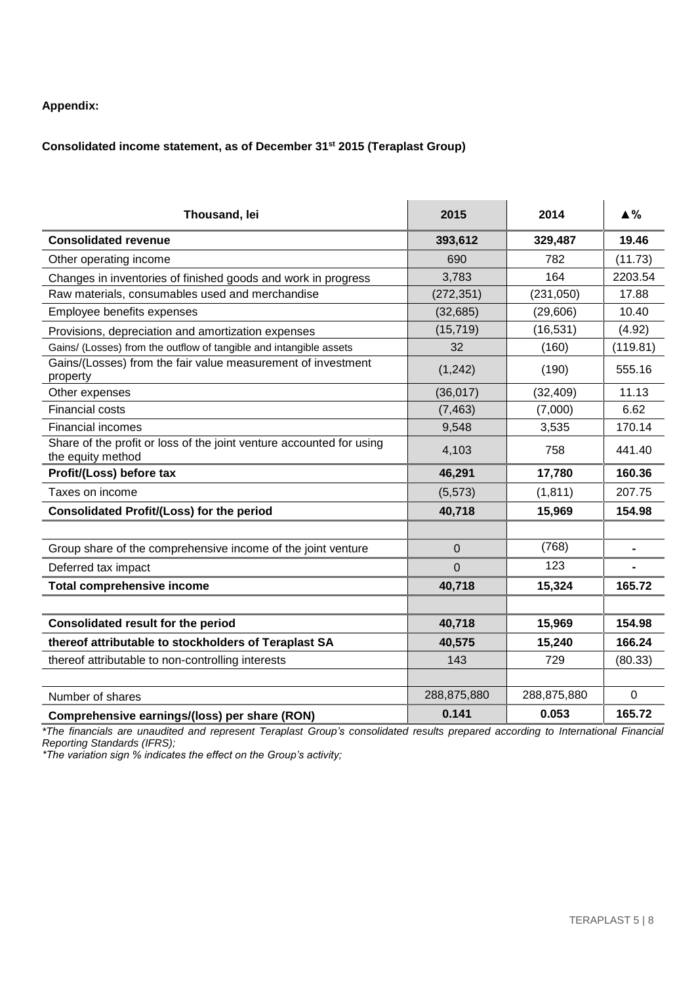#### **Appendix:**

### **Consolidated income statement, as of December 31st 2015 (Teraplast Group)**

| Thousand, lei                                                                             | 2015              | 2014        | $\triangle$ % |
|-------------------------------------------------------------------------------------------|-------------------|-------------|---------------|
| <b>Consolidated revenue</b>                                                               | 393,612           | 329,487     | 19.46         |
| Other operating income                                                                    | 690               | 782         | (11.73)       |
| Changes in inventories of finished goods and work in progress                             | 3,783             | 164         | 2203.54       |
| Raw materials, consumables used and merchandise                                           | (272, 351)        | (231, 050)  | 17.88         |
| Employee benefits expenses                                                                | (32, 685)         | (29, 606)   | 10.40         |
| Provisions, depreciation and amortization expenses                                        | (15, 719)         | (16, 531)   | (4.92)        |
| Gains/ (Losses) from the outflow of tangible and intangible assets                        | 32                | (160)       | (119.81)      |
| Gains/(Losses) from the fair value measurement of investment<br>property                  | (1,242)           | (190)       | 555.16        |
| Other expenses                                                                            | (36, 017)         | (32, 409)   | 11.13         |
| <b>Financial costs</b>                                                                    | (7, 463)          | (7,000)     | 6.62          |
| <b>Financial incomes</b>                                                                  | 9,548             | 3,535       | 170.14        |
| Share of the profit or loss of the joint venture accounted for using<br>the equity method | 4,103             | 758         | 441.40        |
| Profit/(Loss) before tax                                                                  | 46,291            | 17,780      | 160.36        |
| Taxes on income                                                                           | (5, 573)          | (1, 811)    | 207.75        |
| <b>Consolidated Profit/(Loss) for the period</b>                                          | 40,718            | 15,969      | 154.98        |
|                                                                                           |                   |             |               |
| Group share of the comprehensive income of the joint venture                              | (768)<br>$\Omega$ |             |               |
| Deferred tax impact                                                                       | $\overline{0}$    | 123         |               |
| <b>Total comprehensive income</b>                                                         | 40,718            | 15,324      | 165.72        |
|                                                                                           |                   |             |               |
| <b>Consolidated result for the period</b>                                                 | 40,718            | 15,969      | 154.98        |
| thereof attributable to stockholders of Teraplast SA                                      | 40,575            | 15,240      | 166.24        |
| thereof attributable to non-controlling interests                                         | 143               | 729         | (80.33)       |
|                                                                                           |                   |             |               |
| Number of shares                                                                          | 288,875,880       | 288,875,880 | $\mathbf 0$   |
| Comprehensive earnings/(loss) per share (RON)                                             | 0.141             | 0.053       | 165.72        |

*\*The financials are unaudited and represent Teraplast Group's consolidated results prepared according to International Financial Reporting Standards (IFRS);*

*\*The variation sign % indicates the effect on the Group's activity;*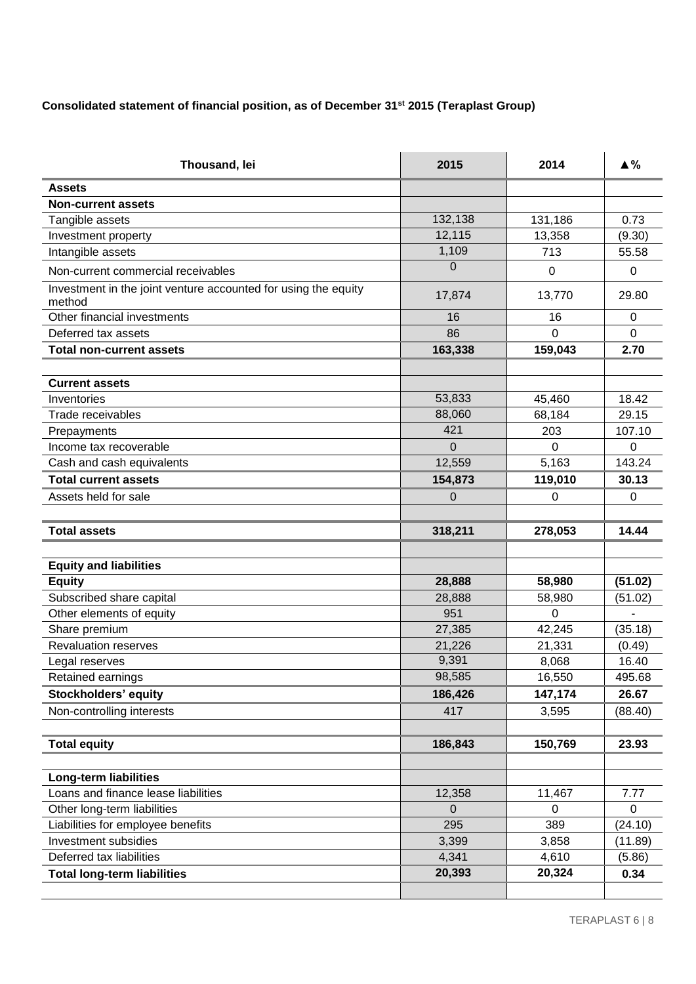## **Consolidated statement of financial position, as of December 31st 2015 (Teraplast Group)**

| Thousand, lei                                                            | 2015           | 2014     | $\blacktriangle \%$ |
|--------------------------------------------------------------------------|----------------|----------|---------------------|
| <b>Assets</b>                                                            |                |          |                     |
| <b>Non-current assets</b>                                                |                |          |                     |
| Tangible assets                                                          | 132,138        | 131,186  | 0.73                |
| Investment property                                                      | 12,115         | 13,358   | (9.30)              |
| Intangible assets                                                        | 1,109          | 713      | 55.58               |
| Non-current commercial receivables                                       | $\Omega$       | $\Omega$ | 0                   |
| Investment in the joint venture accounted for using the equity<br>method | 17,874         | 13,770   | 29.80               |
| Other financial investments                                              | 16             | 16       | 0                   |
| Deferred tax assets                                                      | 86             | $\Omega$ | $\Omega$            |
| <b>Total non-current assets</b>                                          | 163,338        | 159,043  | 2.70                |
|                                                                          |                |          |                     |
| <b>Current assets</b>                                                    |                |          |                     |
| Inventories                                                              | 53,833         | 45,460   | 18.42               |
| Trade receivables                                                        | 88,060         | 68,184   | 29.15               |
| Prepayments                                                              | 421            | 203      | 107.10              |
| Income tax recoverable                                                   | $\overline{0}$ | 0        | 0                   |
| Cash and cash equivalents                                                | 12,559         | 5,163    | 143.24              |
| <b>Total current assets</b>                                              | 154,873        | 119,010  | 30.13               |
| Assets held for sale                                                     | 0              | 0        | 0                   |
|                                                                          |                |          |                     |
| <b>Total assets</b>                                                      | 318,211        | 278,053  | 14.44               |
|                                                                          |                |          |                     |
| <b>Equity and liabilities</b>                                            |                |          |                     |
| <b>Equity</b>                                                            | 28,888         | 58,980   | (51.02)             |
| Subscribed share capital                                                 | 28,888         | 58,980   | (51.02)             |
| Other elements of equity                                                 | 951            | $\Omega$ |                     |
| Share premium                                                            | 27,385         | 42,245   | (35.18)             |
| <b>Revaluation reserves</b>                                              | 21,226         | 21,331   | (0.49)              |
| Legal reserves                                                           | 9,391          | 8,068    | 16.40               |
| Retained earnings                                                        | 98,585         | 16,550   | 495.68              |
| Stockholders' equity                                                     | 186,426        | 147,174  | 26.67               |
| Non-controlling interests                                                | 417            | 3,595    | (88.40)             |
|                                                                          |                |          |                     |
| <b>Total equity</b>                                                      | 186,843        | 150,769  | 23.93               |
| <b>Long-term liabilities</b>                                             |                |          |                     |
| Loans and finance lease liabilities                                      | 12,358         | 11,467   | 7.77                |
| Other long-term liabilities                                              | $\Omega$       | 0        | 0                   |
| Liabilities for employee benefits                                        | 295            | 389      | (24.10)             |
| Investment subsidies                                                     | 3,399          | 3,858    | (11.89)             |
| Deferred tax liabilities                                                 | 4,341          | 4,610    | (5.86)              |
| <b>Total long-term liabilities</b>                                       | 20,393         | 20,324   | 0.34                |
|                                                                          |                |          |                     |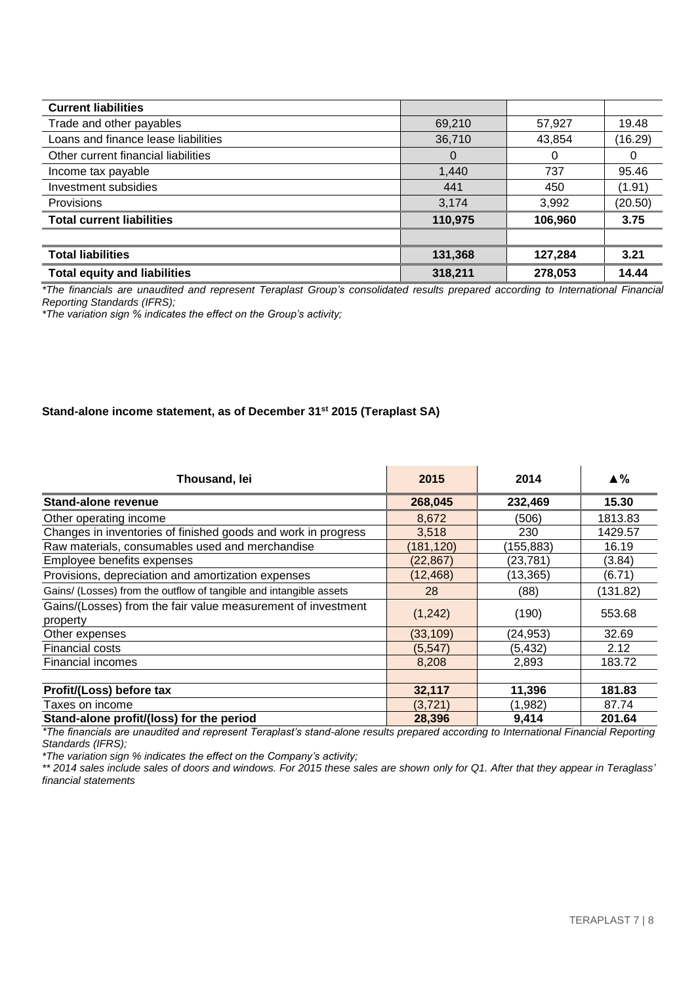| <b>Current liabilities</b>          |         |         |         |
|-------------------------------------|---------|---------|---------|
| Trade and other payables            | 69,210  | 57,927  | 19.48   |
| Loans and finance lease liabilities | 36,710  | 43,854  | (16.29) |
| Other current financial liabilities | O       | 0       |         |
| Income tax payable                  | 1,440   | 737     | 95.46   |
| Investment subsidies                | 441     | 450     | (1.91)  |
| Provisions                          | 3,174   | 3,992   | (20.50) |
| <b>Total current liabilities</b>    | 110,975 | 106,960 | 3.75    |
|                                     |         |         |         |
| <b>Total liabilities</b>            | 131,368 | 127,284 | 3.21    |
| <b>Total equity and liabilities</b> | 318,211 | 278,053 | 14.44   |

*\*The financials are unaudited and represent Teraplast Group's consolidated results prepared according to International Financial Reporting Standards (IFRS);*

*\*The variation sign % indicates the effect on the Group's activity;*

#### **Stand-alone income statement, as of December 31st 2015 (Teraplast SA)**

| Thousand, lei                                                            | 2015       | 2014      | $\triangle \%$ |
|--------------------------------------------------------------------------|------------|-----------|----------------|
| <b>Stand-alone revenue</b>                                               | 268,045    | 232,469   | 15.30          |
| Other operating income                                                   | 8,672      | (506)     | 1813.83        |
| Changes in inventories of finished goods and work in progress            | 3,518      | 230       | 1429.57        |
| Raw materials, consumables used and merchandise                          | (181, 120) | (155,883) | 16.19          |
| Employee benefits expenses                                               | (22, 867)  | (23, 781) | (3.84)         |
| Provisions, depreciation and amortization expenses                       | (12, 468)  | (13, 365) | (6.71)         |
| Gains/ (Losses) from the outflow of tangible and intangible assets       | 28         | (88)      | (131.82)       |
| Gains/(Losses) from the fair value measurement of investment<br>property | (1,242)    | (190)     | 553.68         |
| Other expenses                                                           | (33, 109)  | (24, 953) | 32.69          |
| <b>Financial costs</b>                                                   | (5,547)    | (5, 432)  | 2.12           |
| <b>Financial incomes</b>                                                 | 8,208      | 2,893     | 183.72         |
|                                                                          |            |           |                |
| Profit/(Loss) before tax                                                 | 32,117     | 11,396    | 181.83         |
| Taxes on income                                                          | (3,721)    | (1,982)   | 87.74          |
| Stand-alone profit/(loss) for the period                                 | 28,396     | 9,414     | 201.64         |

*\*The financials are unaudited and represent Teraplast's stand-alone results prepared according to International Financial Reporting Standards (IFRS);*

*\*The variation sign % indicates the effect on the Company's activity;*

*\*\* 2014 sales include sales of doors and windows. For 2015 these sales are shown only for Q1. After that they appear in Teraglass' financial statements*